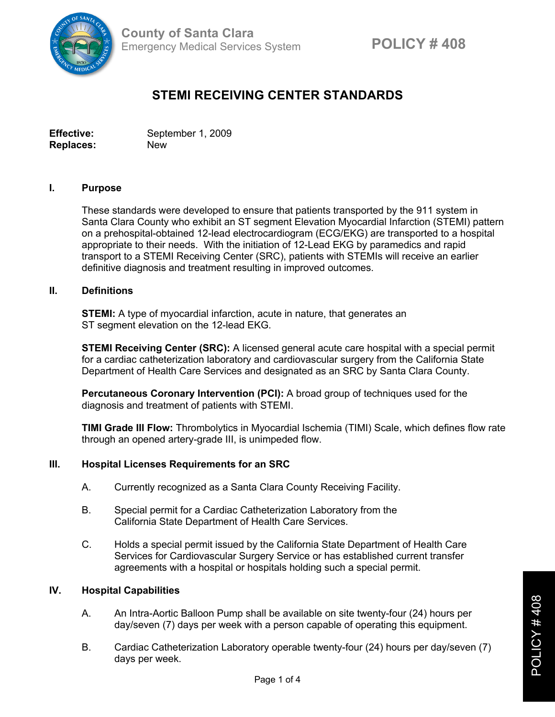

# **STEMI RECEIVING CENTER STANDARDS**

**Effective:** September 1, 2009 **Replaces:** New

#### **I. Purpose**

These standards were developed to ensure that patients transported by the 911 system in Santa Clara County who exhibit an ST segment Elevation Myocardial Infarction (STEMI) pattern on a prehospital-obtained 12-lead electrocardiogram (ECG/EKG) are transported to a hospital appropriate to their needs. With the initiation of 12-Lead EKG by paramedics and rapid transport to a STEMI Receiving Center (SRC), patients with STEMIs will receive an earlier definitive diagnosis and treatment resulting in improved outcomes.

### **II. Definitions**

**STEMI:** A type of myocardial infarction, acute in nature, that generates an ST segment elevation on the 12-lead EKG.

**STEMI Receiving Center (SRC):** A licensed general acute care hospital with a special permit for a cardiac catheterization laboratory and cardiovascular surgery from the California State Department of Health Care Services and designated as an SRC by Santa Clara County.

**Percutaneous Coronary Intervention (PCI):** A broad group of techniques used for the diagnosis and treatment of patients with STEMI.

**TIMI Grade III Flow:** Thrombolytics in Myocardial Ischemia (TIMI) Scale, which defines flow rate through an opened artery-grade III, is unimpeded flow.

#### **III. Hospital Licenses Requirements for an SRC**

- A. Currently recognized as a Santa Clara County Receiving Facility.
- B. Special permit for a Cardiac Catheterization Laboratory from the California State Department of Health Care Services.
- C. Holds a special permit issued by the California State Department of Health Care Services for Cardiovascular Surgery Service or has established current transfer agreements with a hospital or hospitals holding such a special permit.

#### **IV. Hospital Capabilities**

- A. An Intra-Aortic Balloon Pump shall be available on site twenty-four (24) hours per day/seven (7) days per week with a person capable of operating this equipment.
- B. Cardiac Catheterization Laboratory operable twenty-four (24) hours per day/seven (7) days per week.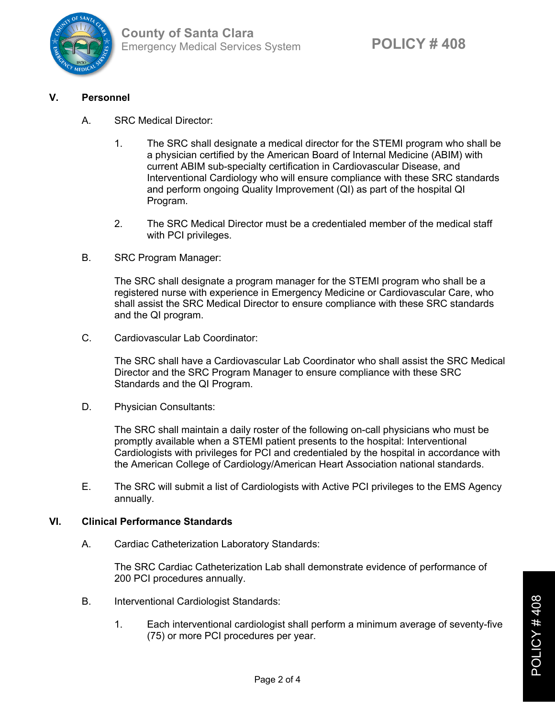

## **V. Personnel**

- A. SRC Medical Director:
	- 1. The SRC shall designate a medical director for the STEMI program who shall be a physician certified by the American Board of Internal Medicine (ABIM) with current ABIM sub-specialty certification in Cardiovascular Disease, and Interventional Cardiology who will ensure compliance with these SRC standards and perform ongoing Quality Improvement (QI) as part of the hospital QI Program.
	- 2. The SRC Medical Director must be a credentialed member of the medical staff with PCI privileges.
- B. SRC Program Manager:

The SRC shall designate a program manager for the STEMI program who shall be a registered nurse with experience in Emergency Medicine or Cardiovascular Care, who shall assist the SRC Medical Director to ensure compliance with these SRC standards and the QI program.

C. Cardiovascular Lab Coordinator:

The SRC shall have a Cardiovascular Lab Coordinator who shall assist the SRC Medical Director and the SRC Program Manager to ensure compliance with these SRC Standards and the QI Program.

D. Physician Consultants:

The SRC shall maintain a daily roster of the following on-call physicians who must be promptly available when a STEMI patient presents to the hospital: Interventional Cardiologists with privileges for PCI and credentialed by the hospital in accordance with the American College of Cardiology/American Heart Association national standards.

E. The SRC will submit a list of Cardiologists with Active PCI privileges to the EMS Agency annually.

## **VI. Clinical Performance Standards**

A. Cardiac Catheterization Laboratory Standards:

The SRC Cardiac Catheterization Lab shall demonstrate evidence of performance of 200 PCI procedures annually.

- B. Interventional Cardiologist Standards:
	- 1. Each interventional cardiologist shall perform a minimum average of seventy-five (75) or more PCI procedures per year.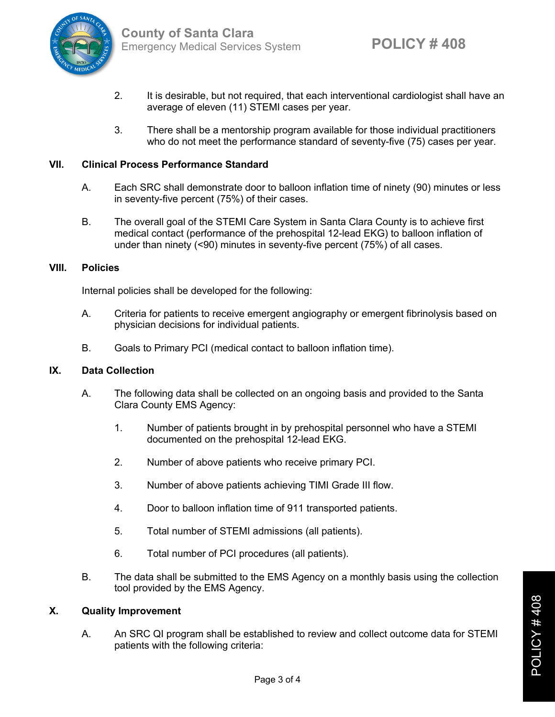

- 2. It is desirable, but not required, that each interventional cardiologist shall have an average of eleven (11) STEMI cases per year.
- 3. There shall be a mentorship program available for those individual practitioners who do not meet the performance standard of seventy-five (75) cases per year.

## **VII. Clinical Process Performance Standard**

- A. Each SRC shall demonstrate door to balloon inflation time of ninety (90) minutes or less in seventy-five percent (75%) of their cases.
- B. The overall goal of the STEMI Care System in Santa Clara County is to achieve first medical contact (performance of the prehospital 12-lead EKG) to balloon inflation of under than ninety (<90) minutes in seventy-five percent (75%) of all cases.

#### **VIII. Policies**

Internal policies shall be developed for the following:

- A. Criteria for patients to receive emergent angiography or emergent fibrinolysis based on physician decisions for individual patients.
- B. Goals to Primary PCI (medical contact to balloon inflation time).

## **IX. Data Collection**

- A. The following data shall be collected on an ongoing basis and provided to the Santa Clara County EMS Agency:
	- 1. Number of patients brought in by prehospital personnel who have a STEMI documented on the prehospital 12-lead EKG.
	- 2. Number of above patients who receive primary PCI.
	- 3. Number of above patients achieving TIMI Grade III flow.
	- 4. Door to balloon inflation time of 911 transported patients.
	- 5. Total number of STEMI admissions (all patients).
	- 6. Total number of PCI procedures (all patients).
- B. The data shall be submitted to the EMS Agency on a monthly basis using the collection tool provided by the EMS Agency.

#### **X. Quality Improvement**

A. An SRC QI program shall be established to review and collect outcome data for STEMI patients with the following criteria: